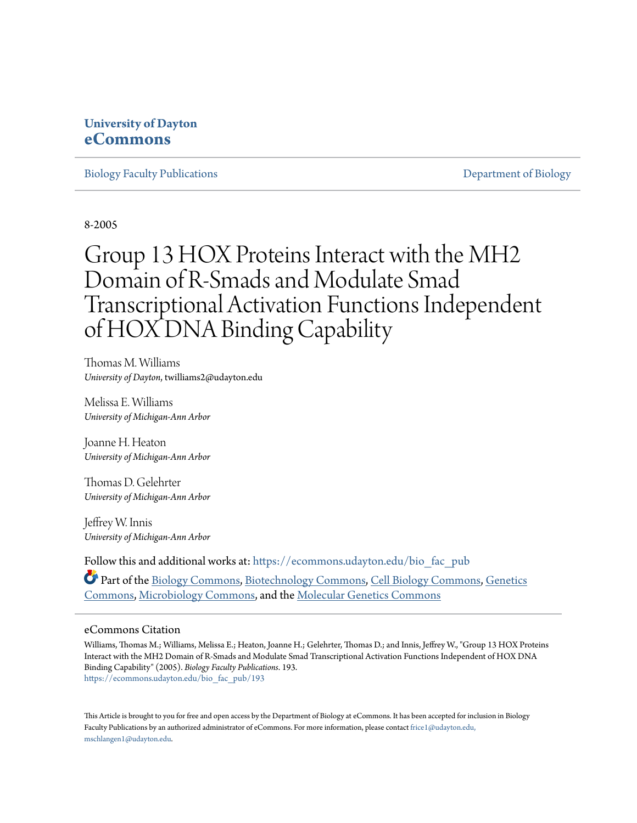# **University of Dayton [eCommons](https://ecommons.udayton.edu?utm_source=ecommons.udayton.edu%2Fbio_fac_pub%2F193&utm_medium=PDF&utm_campaign=PDFCoverPages)**

[Biology Faculty Publications](https://ecommons.udayton.edu/bio_fac_pub?utm_source=ecommons.udayton.edu%2Fbio_fac_pub%2F193&utm_medium=PDF&utm_campaign=PDFCoverPages) **[Department of Biology](https://ecommons.udayton.edu/bio?utm_source=ecommons.udayton.edu%2Fbio_fac_pub%2F193&utm_medium=PDF&utm_campaign=PDFCoverPages)** 

8-2005

# Group 13 HOX Proteins Interact with the MH2 Domain of R-Smads and Modulate Smad Transcriptional Activation Functions Independent of HOX DNA Binding Capability

Thomas M. Williams *University of Dayton*, twilliams2@udayton.edu

Melissa E. Williams *University of Michigan-Ann Arbor*

Joanne H. Heaton *University of Michigan-Ann Arbor*

Thomas D. Gelehrter *University of Michigan-Ann Arbor*

Jeffrey W. Innis *University of Michigan-Ann Arbor*

Follow this and additional works at: [https://ecommons.udayton.edu/bio\\_fac\\_pub](https://ecommons.udayton.edu/bio_fac_pub?utm_source=ecommons.udayton.edu%2Fbio_fac_pub%2F193&utm_medium=PDF&utm_campaign=PDFCoverPages)

Part of the [Biology Commons,](http://network.bepress.com/hgg/discipline/41?utm_source=ecommons.udayton.edu%2Fbio_fac_pub%2F193&utm_medium=PDF&utm_campaign=PDFCoverPages) [Biotechnology Commons,](http://network.bepress.com/hgg/discipline/111?utm_source=ecommons.udayton.edu%2Fbio_fac_pub%2F193&utm_medium=PDF&utm_campaign=PDFCoverPages) [Cell Biology Commons](http://network.bepress.com/hgg/discipline/10?utm_source=ecommons.udayton.edu%2Fbio_fac_pub%2F193&utm_medium=PDF&utm_campaign=PDFCoverPages), [Genetics](http://network.bepress.com/hgg/discipline/29?utm_source=ecommons.udayton.edu%2Fbio_fac_pub%2F193&utm_medium=PDF&utm_campaign=PDFCoverPages) [Commons,](http://network.bepress.com/hgg/discipline/29?utm_source=ecommons.udayton.edu%2Fbio_fac_pub%2F193&utm_medium=PDF&utm_campaign=PDFCoverPages) [Microbiology Commons](http://network.bepress.com/hgg/discipline/48?utm_source=ecommons.udayton.edu%2Fbio_fac_pub%2F193&utm_medium=PDF&utm_campaign=PDFCoverPages), and the [Molecular Genetics Commons](http://network.bepress.com/hgg/discipline/31?utm_source=ecommons.udayton.edu%2Fbio_fac_pub%2F193&utm_medium=PDF&utm_campaign=PDFCoverPages)

# eCommons Citation

Williams, Thomas M.; Williams, Melissa E.; Heaton, Joanne H.; Gelehrter, Thomas D.; and Innis, Jeffrey W., "Group 13 HOX Proteins Interact with the MH2 Domain of R-Smads and Modulate Smad Transcriptional Activation Functions Independent of HOX DNA Binding Capability" (2005). *Biology Faculty Publications*. 193. [https://ecommons.udayton.edu/bio\\_fac\\_pub/193](https://ecommons.udayton.edu/bio_fac_pub/193?utm_source=ecommons.udayton.edu%2Fbio_fac_pub%2F193&utm_medium=PDF&utm_campaign=PDFCoverPages)

This Article is brought to you for free and open access by the Department of Biology at eCommons. It has been accepted for inclusion in Biology Faculty Publications by an authorized administrator of eCommons. For more information, please contact [frice1@udayton.edu,](mailto:frice1@udayton.edu,%20mschlangen1@udayton.edu) [mschlangen1@udayton.edu.](mailto:frice1@udayton.edu,%20mschlangen1@udayton.edu)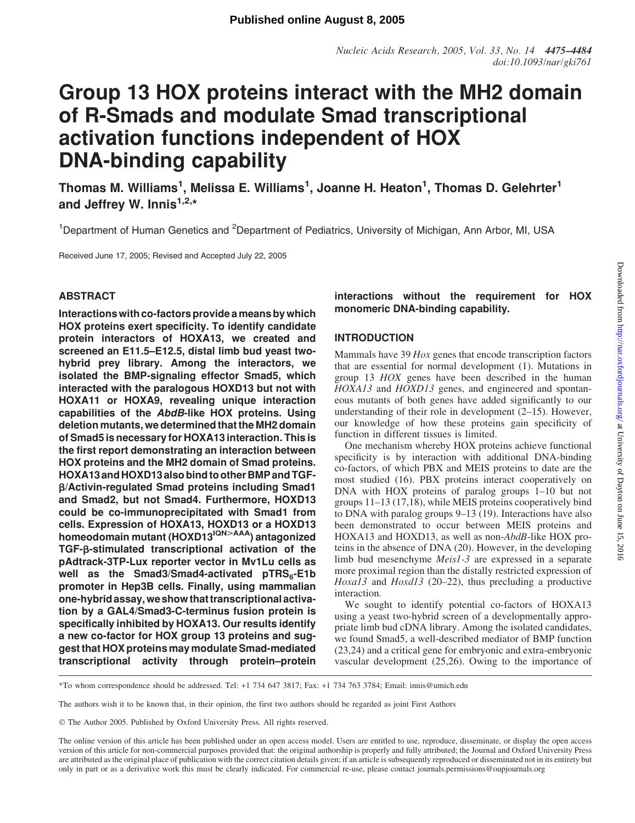# Group 13 HOX proteins interact with the MH2 domain of R-Smads and modulate Smad transcriptional activation functions independent of HOX DNA-binding capability

Thomas M. Williams<sup>1</sup>, Melissa E. Williams<sup>1</sup>, Joanne H. Heaton<sup>1</sup>, Thomas D. Gelehrter<sup>1</sup> and Jeffrey W. Innis $1,2,*$ 

<sup>1</sup>Department of Human Genetics and <sup>2</sup>Department of Pediatrics, University of Michigan, Ann Arbor, MI, USA

Received June 17, 2005; Revised and Accepted July 22, 2005

# ABSTRACT

Interactions with co-factors provide a means by which HOX proteins exert specificity. To identify candidate protein interactors of HOXA13, we created and screened an E11.5–E12.5, distal limb bud yeast twohybrid prey library. Among the interactors, we isolated the BMP-signaling effector Smad5, which interacted with the paralogous HOXD13 but not with HOXA11 or HOXA9, revealing unique interaction capabilities of the AbdB-like HOX proteins. Using deletion mutants, we determined that the MH2 domain of Smad5 is necessary for HOXA13 interaction. This is the first report demonstrating an interaction between HOX proteins and the MH2 domain of Smad proteins. HOXA13andHOXD13alsobindtootherBMPandTGFb/Activin-regulated Smad proteins including Smad1 and Smad2, but not Smad4. Furthermore, HOXD13 could be co-immunoprecipitated with Smad1 from cells. Expression of HOXA13, HOXD13 or a HOXD13 homeodomain mutant (HOXD13<sup>IQN>AAA</sup>) antagonized TGF-<sub>B</sub>-stimulated transcriptional activation of the pAdtrack-3TP-Lux reporter vector in Mv1Lu cells as well as the Smad3/Smad4-activated  $pTRS<sub>6</sub>-E1b$ promoter in Hep3B cells. Finally, using mammalian one-hybrid assay, we show that transcriptional activation by a GAL4/Smad3-C-terminus fusion protein is specifically inhibited by HOXA13. Our results identify a new co-factor for HOX group 13 proteins and suggest that HOX proteins may modulate Smad-mediated transcriptional activity through protein–protein

# interactions without the requirement for HOX monomeric DNA-binding capability.

# INTRODUCTION

Mammals have 39 Hox genes that encode transcription factors that are essential for normal development (1). Mutations in group 13 HOX genes have been described in the human HOXA13 and HOXD13 genes, and engineered and spontaneous mutants of both genes have added significantly to our understanding of their role in development (2–15). However, our knowledge of how these proteins gain specificity of function in different tissues is limited.

One mechanism whereby HOX proteins achieve functional specificity is by interaction with additional DNA-binding co-factors, of which PBX and MEIS proteins to date are the most studied (16). PBX proteins interact cooperatively on DNA with HOX proteins of paralog groups 1–10 but not groups 11–13 (17,18), while MEIS proteins cooperatively bind to DNA with paralog groups 9–13 (19). Interactions have also been demonstrated to occur between MEIS proteins and HOXA13 and HOXD13, as well as non-AbdB-like HOX proteins in the absence of DNA (20). However, in the developing limb bud mesenchyme Meis1-3 are expressed in a separate more proximal region than the distally restricted expression of Hoxa13 and Hoxd13 (20–22), thus precluding a productive interaction.

We sought to identify potential co-factors of HOXA13 using a yeast two-hybrid screen of a developmentally appropriate limb bud cDNA library. Among the isolated candidates, we found Smad5, a well-described mediator of BMP function (23,24) and a critical gene for embryonic and extra-embryonic vascular development (25,26). Owing to the importance of

\*To whom correspondence should be addressed. Tel: +1 734 647 3817; Fax: +1 734 763 3784; Email: innis@umich.edu

The authors wish it to be known that, in their opinion, the first two authors should be regarded as joint First Authors

- The Author 2005. Published by Oxford University Press. All rights reserved.

The online version of this article has been published under an open access model. Users are entitled to use, reproduce, disseminate, or display the open access version of this article for non-commercial purposes provided that: the original authorship is properly and fully attributed; the Journal and Oxford University Press are attributed as the original place of publication with the correct citation details given; if an article is subsequently reproduced or disseminated not in its entirety but only in part or as a derivative work this must be clearly indicated. For commercial re-use, please contact journals.permissions@oupjournals.org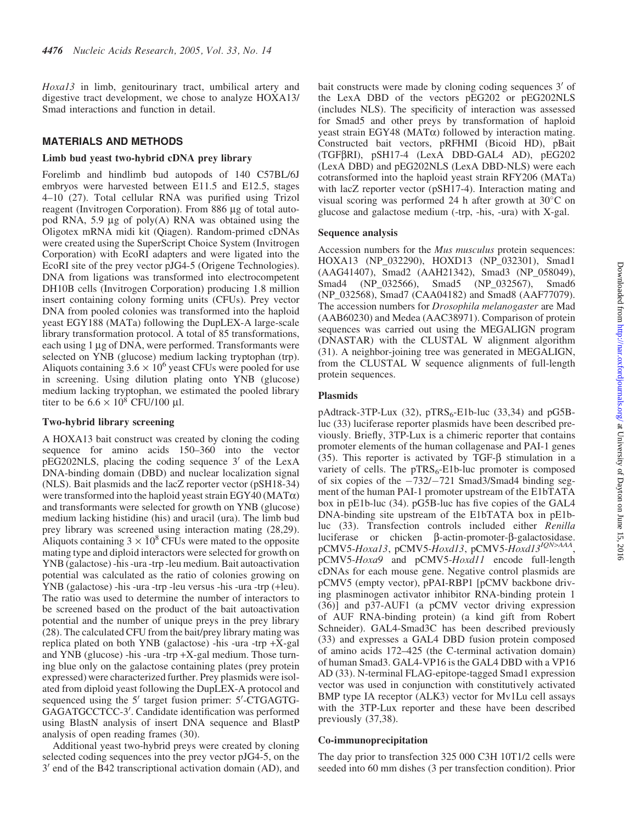Hoxal3 in limb, genitourinary tract, umbilical artery and digestive tract development, we chose to analyze HOXA13/ Smad interactions and function in detail.

#### MATERIALS AND METHODS

#### Limb bud yeast two-hybrid cDNA prey library

Forelimb and hindlimb bud autopods of 140 C57BL/6J embryos were harvested between E11.5 and E12.5, stages 4–10 (27). Total cellular RNA was purified using Trizol reagent (Invitrogen Corporation). From 886 µg of total autopod RNA, 5.9  $\mu$ g of poly(A) RNA was obtained using the Oligotex mRNA midi kit (Qiagen). Random-primed cDNAs were created using the SuperScript Choice System (Invitrogen Corporation) with EcoRI adapters and were ligated into the EcoRI site of the prey vector pJG4-5 (Origene Technologies). DNA from ligations was transformed into electrocompetent DH10B cells (Invitrogen Corporation) producing 1.8 million insert containing colony forming units (CFUs). Prey vector DNA from pooled colonies was transformed into the haploid yeast EGY188 (MATa) following the DupLEX-A large-scale library transformation protocol. A total of 85 transformations, each using  $1 \mu$ g of DNA, were performed. Transformants were selected on YNB (glucose) medium lacking tryptophan (trp). Aliquots containing  $3.6 \times 10^6$  yeast CFUs were pooled for use in screening. Using dilution plating onto YNB (glucose) medium lacking tryptophan, we estimated the pooled library titer to be  $6.6 \times 10^8$  CFU/100 µl.

#### Two-hybrid library screening

A HOXA13 bait construct was created by cloning the coding sequence for amino acids 150–360 into the vector  $pEG202NLS$ , placing the coding sequence  $3'$  of the LexA DNA-binding domain (DBD) and nuclear localization signal (NLS). Bait plasmids and the lacZ reporter vector (pSH18-34) were transformed into the haploid yeast strain EGY40 (MAT $\alpha$ ) and transformants were selected for growth on YNB (glucose) medium lacking histidine (his) and uracil (ura). The limb bud prey library was screened using interaction mating (28,29). Aliquots containing  $3 \times 10^8$  CFUs were mated to the opposite mating type and diploid interactors were selected for growth on YNB (galactose) -his -ura -trp -leu medium. Bait autoactivation potential was calculated as the ratio of colonies growing on YNB (galactose) -his -ura -trp -leu versus -his -ura -trp (+leu). The ratio was used to determine the number of interactors to be screened based on the product of the bait autoactivation potential and the number of unique preys in the prey library (28). The calculated CFU from the bait/prey library mating was replica plated on both YNB (galactose) -his -ura -trp +X-gal and YNB (glucose) -his -ura -trp +X-gal medium. Those turning blue only on the galactose containing plates (prey protein expressed) were characterized further. Prey plasmids were isolated from diploid yeast following the DupLEX-A protocol and sequenced using the 5' target fusion primer: 5'-CTGAGTG-GAGATGCCTCC-3'. Candidate identification was performed using BlastN analysis of insert DNA sequence and BlastP analysis of open reading frames (30).

Additional yeast two-hybrid preys were created by cloning selected coding sequences into the prey vector pJG4-5, on the  $3'$  end of the B42 transcriptional activation domain (AD), and bait constructs were made by cloning coding sequences  $3'$  of the LexA DBD of the vectors pEG202 or pEG202NLS (includes NLS). The specificity of interaction was assessed for Smad5 and other preys by transformation of haploid yeast strain EGY48 (MAT $\alpha$ ) followed by interaction mating. Constructed bait vectors, pRFHMI (Bicoid HD), pBait  $(TGF\beta RI)$ , pSH17-4 (LexA DBD-GAL4 AD), pEG202 (LexA DBD) and pEG202NLS (LexA DBD-NLS) were each cotransformed into the haploid yeast strain RFY206 (MATa) with lacZ reporter vector (pSH17-4). Interaction mating and visual scoring was performed 24 h after growth at  $30^{\circ}$ C on glucose and galactose medium (-trp, -his, -ura) with X-gal.

#### Sequence analysis

Accession numbers for the *Mus musculus* protein sequences: HOXA13 (NP\_032290), HOXD13 (NP\_032301), Smad1 (AAG41407), Smad2 (AAH21342), Smad3 (NP\_058049), Smad4 (NP\_032566), Smad5 (NP\_032567), Smad6 (NP\_032568), Smad7 (CAA04182) and Smad8 (AAF77079). The accession numbers for Drosophila melanogaster are Mad (AAB60230) and Medea (AAC38971). Comparison of protein sequences was carried out using the MEGALIGN program (DNASTAR) with the CLUSTAL W alignment algorithm (31). A neighbor-joining tree was generated in MEGALIGN, from the CLUSTAL W sequence alignments of full-length protein sequences.

#### Plasmids

pAdtrack-3TP-Lux (32),  $pTRS_6$ -E1b-luc (33,34) and pG5Bluc (33) luciferase reporter plasmids have been described previously. Briefly, 3TP-Lux is a chimeric reporter that contains promoter elements of the human collagenase and PAI-1 genes (35). This reporter is activated by TGF-b stimulation in a variety of cells. The  $pTRS_6$ -E1b-luc promoter is composed of six copies of the  $-732/-721$  Smad3/Smad4 binding segment of the human PAI-1 promoter upstream of the E1bTATA box in pE1b-luc (34). pG5B-luc has five copies of the GAL4 DNA-binding site upstream of the E1bTATA box in pE1bluc (33). Transfection controls included either Renilla luciferase or chicken  $\beta$ -actin-promoter- $\beta$ -galactosidase. pCMV5-Hoxa13, pCMV5-Hoxd13, pCMV5-Hoxd13<sup>IQN>AAA</sup>, pCMV5-Hoxa9 and pCMV5-Hoxd11 encode full-length cDNAs for each mouse gene. Negative control plasmids are pCMV5 (empty vector), pPAI-RBP1 [pCMV backbone driving plasminogen activator inhibitor RNA-binding protein 1 (36)] and p37-AUF1 (a pCMV vector driving expression of AUF RNA-binding protein) (a kind gift from Robert Schneider). GAL4-Smad3C has been described previously (33) and expresses a GAL4 DBD fusion protein composed of amino acids 172–425 (the C-terminal activation domain) of human Smad3. GAL4-VP16 is the GAL4 DBD with a VP16 AD (33). N-terminal FLAG-epitope-tagged Smad1 expression vector was used in conjunction with constitutively activated BMP type IA receptor (ALK3) vector for Mv1Lu cell assays with the 3TP-Lux reporter and these have been described previously (37,38).

#### Co-immunoprecipitation

The day prior to transfection 325 000 C3H 10T1/2 cells were seeded into 60 mm dishes (3 per transfection condition). Prior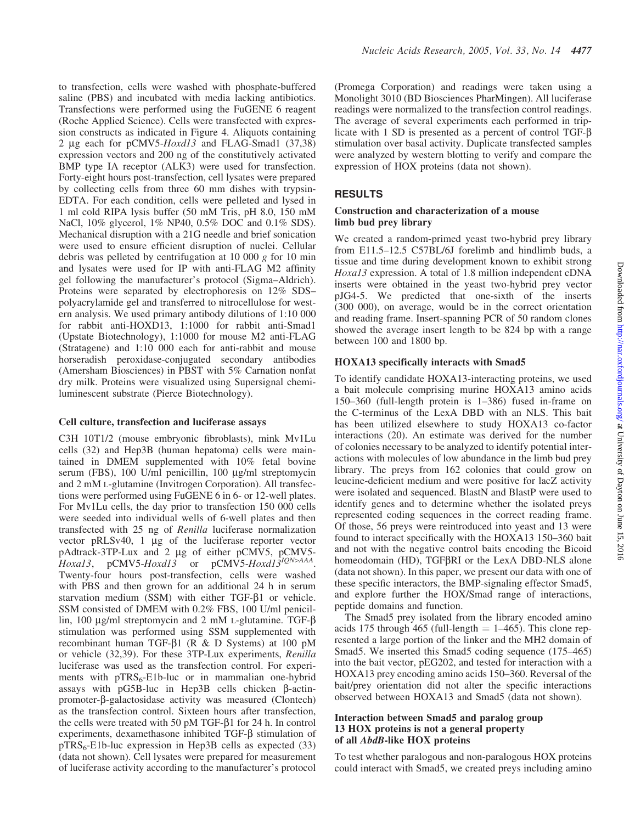to transfection, cells were washed with phosphate-buffered saline (PBS) and incubated with media lacking antibiotics. Transfections were performed using the FuGENE 6 reagent (Roche Applied Science). Cells were transfected with expression constructs as indicated in Figure 4. Aliquots containing 2 µg each for  $pCMV5$ -Hoxd13 and FLAG-Smad1 (37,38) expression vectors and 200 ng of the constitutively activated BMP type IA receptor (ALK3) were used for transfection. Forty-eight hours post-transfection, cell lysates were prepared by collecting cells from three 60 mm dishes with trypsin-EDTA. For each condition, cells were pelleted and lysed in 1 ml cold RIPA lysis buffer (50 mM Tris, pH 8.0, 150 mM NaCl, 10% glycerol, 1% NP40, 0.5% DOC and 0.1% SDS). Mechanical disruption with a 21G needle and brief sonication were used to ensure efficient disruption of nuclei. Cellular debris was pelleted by centrifugation at 10 000 g for 10 min and lysates were used for IP with anti-FLAG M2 affinity gel following the manufacturer's protocol (Sigma–Aldrich). Proteins were separated by electrophoresis on 12% SDS– polyacrylamide gel and transferred to nitrocellulose for western analysis. We used primary antibody dilutions of 1:10 000 for rabbit anti-HOXD13, 1:1000 for rabbit anti-Smad1 (Upstate Biotechnology), 1:1000 for mouse M2 anti-FLAG (Stratagene) and 1:10 000 each for anti-rabbit and mouse horseradish peroxidase-conjugated secondary antibodies (Amersham Biosciences) in PBST with 5% Carnation nonfat dry milk. Proteins were visualized using Supersignal chemiluminescent substrate (Pierce Biotechnology).

#### Cell culture, transfection and luciferase assays

C3H 10T1/2 (mouse embryonic fibroblasts), mink Mv1Lu cells (32) and Hep3B (human hepatoma) cells were maintained in DMEM supplemented with 10% fetal bovine serum (FBS), 100 U/ml penicillin, 100 µg/ml streptomycin and 2 mM L-glutamine (Invitrogen Corporation). All transfections were performed using FuGENE 6 in 6- or 12-well plates. For Mv1Lu cells, the day prior to transfection 150 000 cells were seeded into individual wells of 6-well plates and then transfected with 25 ng of Renilla luciferase normalization vector pRLSv40, 1 µg of the luciferase reporter vector pAdtrack-3TP-Lux and 2 µg of either pCMV5, pCMV5-Hoxa13, pCMV5-Hoxd13 or pCMV5-Hoxd13<sup>1QN>AAA</sup>. Twenty-four hours post-transfection, cells were washed with PBS and then grown for an additional 24 h in serum starvation medium (SSM) with either TGF- $\beta$ 1 or vehicle. SSM consisted of DMEM with 0.2% FBS, 100 U/ml penicillin, 100  $\mu$ g/ml streptomycin and 2 mM L-glutamine. TGF- $\beta$ stimulation was performed using SSM supplemented with recombinant human TGF-b1 (R & D Systems) at 100 pM or vehicle (32,39). For these 3TP-Lux experiments, Renilla luciferase was used as the transfection control. For experiments with  $pTRS<sub>6</sub>-Elb-luc$  or in mammalian one-hybrid assays with  $pG5B$ -luc in Hep3B cells chicken  $\beta$ -actinpromoter-b-galactosidase activity was measured (Clontech) as the transfection control. Sixteen hours after transfection, the cells were treated with 50 pM TGF- $\beta$ 1 for 24 h. In control experiments, dexamethasone inhibited TGF- $\beta$  stimulation of  $pTRS_6$ -E1b-luc expression in Hep3B cells as expected (33) (data not shown). Cell lysates were prepared for measurement of luciferase activity according to the manufacturer's protocol

(Promega Corporation) and readings were taken using a Monolight 3010 (BD Biosciences PharMingen). All luciferase readings were normalized to the transfection control readings. The average of several experiments each performed in triplicate with 1 SD is presented as a percent of control TGF-b stimulation over basal activity. Duplicate transfected samples were analyzed by western blotting to verify and compare the expression of HOX proteins (data not shown).

# **RESULTS**

#### Construction and characterization of a mouse limb bud prey library

We created a random-primed yeast two-hybrid prey library from E11.5–12.5 C57BL/6J forelimb and hindlimb buds, a tissue and time during development known to exhibit strong Hoxal<sub>3</sub> expression. A total of 1.8 million independent cDNA inserts were obtained in the yeast two-hybrid prey vector pJG4-5. We predicted that one-sixth of the inserts (300 000), on average, would be in the correct orientation and reading frame. Insert-spanning PCR of 50 random clones showed the average insert length to be 824 bp with a range between 100 and 1800 bp.

### HOXA13 specifically interacts with Smad5

To identify candidate HOXA13-interacting proteins, we used a bait molecule comprising murine HOXA13 amino acids 150–360 (full-length protein is 1–386) fused in-frame on the C-terminus of the LexA DBD with an NLS. This bait has been utilized elsewhere to study HOXA13 co-factor interactions (20). An estimate was derived for the number of colonies necessary to be analyzed to identify potential interactions with molecules of low abundance in the limb bud prey library. The preys from 162 colonies that could grow on leucine-deficient medium and were positive for lacZ activity were isolated and sequenced. BlastN and BlastP were used to identify genes and to determine whether the isolated preys represented coding sequences in the correct reading frame. Of those, 56 preys were reintroduced into yeast and 13 were found to interact specifically with the HOXA13 150–360 bait and not with the negative control baits encoding the Bicoid homeodomain (HD), TGF $\beta$ RI or the LexA DBD-NLS alone (data not shown). In this paper, we present our data with one of these specific interactors, the BMP-signaling effector Smad5, and explore further the HOX/Smad range of interactions, peptide domains and function.

The Smad5 prey isolated from the library encoded amino acids 175 through 465 (full-length  $= 1-465$ ). This clone represented a large portion of the linker and the MH2 domain of Smad5. We inserted this Smad5 coding sequence (175–465) into the bait vector, pEG202, and tested for interaction with a HOXA13 prey encoding amino acids 150–360. Reversal of the bait/prey orientation did not alter the specific interactions observed between HOXA13 and Smad5 (data not shown).

#### Interaction between Smad5 and paralog group 13 HOX proteins is not a general property of all AbdB-like HOX proteins

To test whether paralogous and non-paralogous HOX proteins could interact with Smad5, we created preys including amino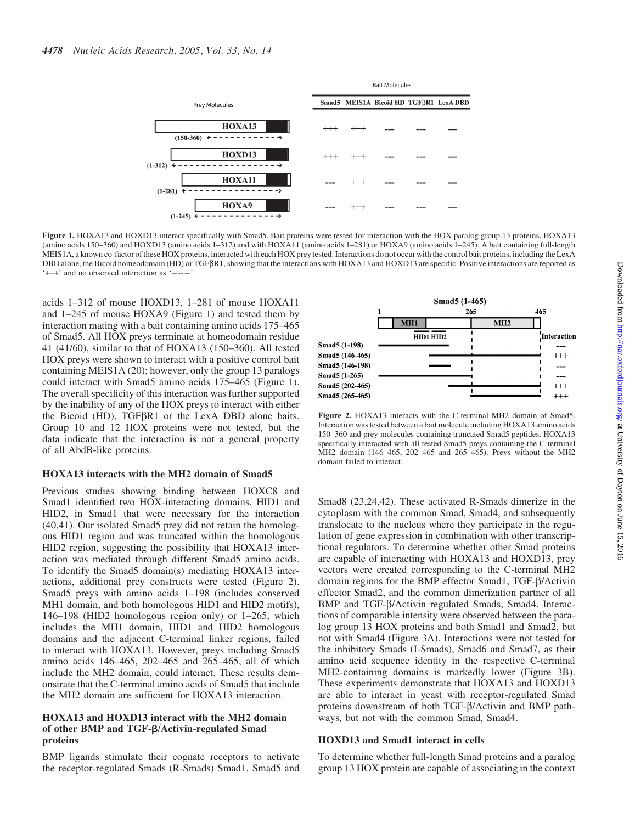

Figure 1. HOXA13 and HOXD13 interact specifically with Smad5. Bait proteins were tested for interaction with the HOX paralog group 13 proteins, HOXA13 (amino acids 150–360) and HOXD13 (amino acids 1–312) and with HOXA11 (amino acids 1–281) or HOXA9 (amino acids 1–245). A bait containing full-length MEIS1A, a known co-factor of these HOX proteins, interacted with each HOX prey tested. Interactions do not occur with the control bait proteins, including the LexA DBD alone, the Bicoid homeodomain (HD) or TGF $\beta$ R1, showing that the interactions with HOXA13 and HOXD13 are specific. Positive interactions are reported as  $'$ +++' and no observed interaction as  $'$ --

acids 1–312 of mouse HOXD13, 1–281 of mouse HOXA11 and 1–245 of mouse HOXA9 (Figure 1) and tested them by interaction mating with a bait containing amino acids 175–465 of Smad5. All HOX preys terminate at homeodomain residue 41 (41/60), similar to that of HOXA13 (150–360). All tested HOX preys were shown to interact with a positive control bait containing MEIS1A (20); however, only the group 13 paralogs could interact with Smad5 amino acids 175–465 (Figure 1). The overall specificity of this interaction was further supported by the inability of any of the HOX preys to interact with either the Bicoid (HD),  $TGF\beta R1$  or the LexA DBD alone baits. Group 10 and 12 HOX proteins were not tested, but the data indicate that the interaction is not a general property of all AbdB-like proteins.

#### HOXA13 interacts with the MH2 domain of Smad5

Previous studies showing binding between HOXC8 and Smad1 identified two HOX-interacting domains, HID1 and HID2, in Smad1 that were necessary for the interaction (40,41). Our isolated Smad5 prey did not retain the homologous HID1 region and was truncated within the homologous HID2 region, suggesting the possibility that HOXA13 interaction was mediated through different Smad5 amino acids. To identify the Smad5 domain(s) mediating HOXA13 interactions, additional prey constructs were tested (Figure 2). Smad5 preys with amino acids 1–198 (includes conserved MH1 domain, and both homologous HID1 and HID2 motifs), 146–198 (HID2 homologous region only) or 1–265, which includes the MH1 domain, HID1 and HID2 homologous domains and the adjacent C-terminal linker regions, failed to interact with HOXA13. However, preys including Smad5 amino acids 146–465, 202–465 and 265–465, all of which include the MH2 domain, could interact. These results demonstrate that the C-terminal amino acids of Smad5 that include the MH2 domain are sufficient for HOXA13 interaction.

#### HOXA13 and HOXD13 interact with the MH2 domain of other BMP and TGF-b/Activin-regulated Smad proteins

BMP ligands stimulate their cognate receptors to activate the receptor-regulated Smads (R-Smads) Smad1, Smad5 and



Figure 2. HOXA13 interacts with the C-terminal MH2 domain of Smad5. Interaction was tested between a bait molecule including HOXA13 amino acids 150–360 and prey molecules containing truncated Smad5 peptides. HOXA13 specifically interacted with all tested Smad5 preys containing the C-terminal MH2 domain (146–465, 202–465 and 265–465). Preys without the MH2 domain failed to interact.

Smad8 (23,24,42). These activated R-Smads dimerize in the cytoplasm with the common Smad, Smad4, and subsequently translocate to the nucleus where they participate in the regulation of gene expression in combination with other transcriptional regulators. To determine whether other Smad proteins are capable of interacting with HOXA13 and HOXD13, prey vectors were created corresponding to the C-terminal MH2 domain regions for the BMP effector Smad1, TGF-b/Activin effector Smad2, and the common dimerization partner of all BMP and TGF- $\beta$ /Activin regulated Smads, Smad4. Interactions of comparable intensity were observed between the paralog group 13 HOX proteins and both Smad1 and Smad2, but not with Smad4 (Figure 3A). Interactions were not tested for the inhibitory Smads (I-Smads), Smad6 and Smad7, as their amino acid sequence identity in the respective C-terminal MH2-containing domains is markedly lower (Figure 3B). These experiments demonstrate that HOXA13 and HOXD13 are able to interact in yeast with receptor-regulated Smad proteins downstream of both TGF- $\beta$ /Activin and BMP pathways, but not with the common Smad, Smad4.

#### HOXD13 and Smad1 interact in cells

To determine whether full-length Smad proteins and a paralog group 13 HOX protein are capable of associating in the context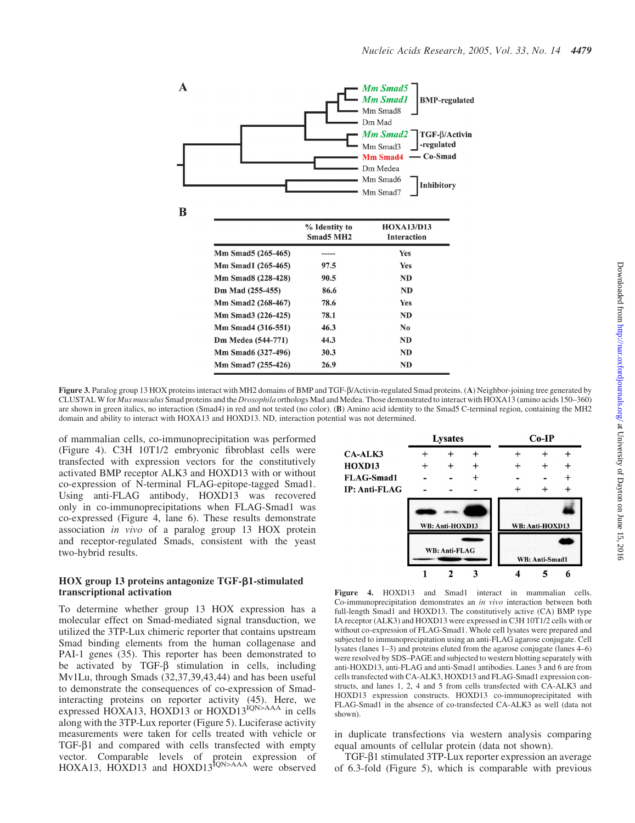

Figure 3. Paralog group 13 HOX proteins interact with MH2 domains of BMP and TGF- $\beta$ /Activin-regulated Smad proteins. (A) Neighbor-joining tree generated by CLUSTAL W for Mus musculus Smad proteins and the Drosophila orthologs Mad and Medea. Those demonstrated to interact with HOXA13 (amino acids 150–360) are shown in green italics, no interaction (Smad4) in red and not tested (no color). (B) Amino acid identity to the Smad5 C-terminal region, containing the MH2 domain and ability to interact with HOXA13 and HOXD13. ND, interaction potential was not determined.

of mammalian cells, co-immunoprecipitation was performed (Figure 4). C3H 10T1/2 embryonic fibroblast cells were transfected with expression vectors for the constitutively activated BMP receptor ALK3 and HOXD13 with or without co-expression of N-terminal FLAG-epitope-tagged Smad1. Using anti-FLAG antibody, HOXD13 was recovered only in co-immunoprecipitations when FLAG-Smad1 was co-expressed (Figure 4, lane 6). These results demonstrate association in vivo of a paralog group 13 HOX protein and receptor-regulated Smads, consistent with the yeast two-hybrid results.

#### HOX group 13 proteins antagonize TGF- $\beta$ 1-stimulated transcriptional activation

To determine whether group 13 HOX expression has a molecular effect on Smad-mediated signal transduction, we utilized the 3TP-Lux chimeric reporter that contains upstream Smad binding elements from the human collagenase and PAI-1 genes (35). This reporter has been demonstrated to be activated by TGF- $\beta$  stimulation in cells, including Mv1Lu, through Smads (32,37,39,43,44) and has been useful to demonstrate the consequences of co-expression of Smadinteracting proteins on reporter activity (45). Here, we expressed HOXA13, HOXD13 or HOXD13<sup>IQN>AAA</sup> in cells along with the 3TP-Lux reporter (Figure 5). Luciferase activity measurements were taken for cells treated with vehicle or TGF- $\beta$ 1 and compared with cells transfected with empty vector. Comparable levels of protein expression of HOXA13, HOXD13 and HOXD13<sup>IQN>AAA</sup> were observed



Figure 4. HOXD13 and Smad1 interact in mammalian cells. Co-immunoprecipitation demonstrates an in vivo interaction between both full-length Smad1 and HOXD13. The constitutively active (CA) BMP type IA receptor (ALK3) and HOXD13 were expressed in C3H 10T1/2 cells with or without co-expression of FLAG-Smad1. Whole cell lysates were prepared and subjected to immunoprecipitation using an anti-FLAG agarose conjugate. Cell lysates (lanes 1–3) and proteins eluted from the agarose conjugate (lanes 4–6) were resolved by SDS–PAGE and subjected to western blotting separately with anti-HOXD13, anti-FLAG and anti-Smad1 antibodies. Lanes 3 and 6 are from cells transfected with CA-ALK3, HOXD13 and FLAG-Smad1 expression constructs, and lanes 1, 2, 4 and 5 from cells transfected with CA-ALK3 and HOXD13 expression constructs. HOXD13 co-immunoprecipitated with FLAG-Smad1 in the absence of co-transfected CA-ALK3 as well (data not shown).

in duplicate transfections via western analysis comparing equal amounts of cellular protein (data not shown).

TGF-b1 stimulated 3TP-Lux reporter expression an average of 6.3-fold (Figure 5), which is comparable with previous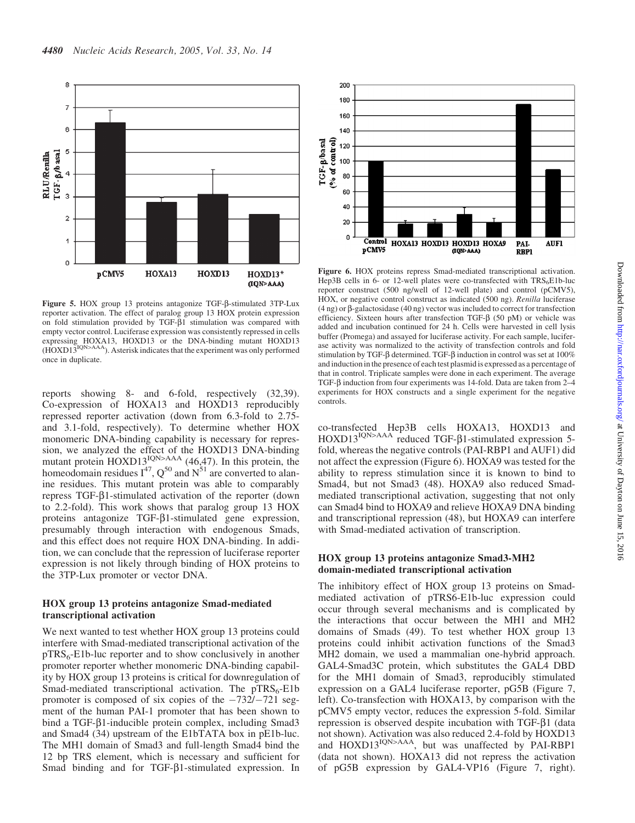

Figure 5. HOX group 13 proteins antagonize TGF- $\beta$ -stimulated 3TP-Lux reporter activation. The effect of paralog group 13 HOX protein expression on fold stimulation provided by TGF- $\beta$ 1 stimulation was compared with empty vector control. Luciferase expression was consistently repressed in cells expressing HOXA13, HOXD13 or the DNA-binding mutant HOXD13 (HOXD13<sup>IQN>AAA</sup>). Asterisk indicates that the experiment was only performed once in duplicate.

reports showing 8- and 6-fold, respectively (32,39). Co-expression of HOXA13 and HOXD13 reproducibly repressed reporter activation (down from 6.3-fold to 2.75 and 3.1-fold, respectively). To determine whether HOX monomeric DNA-binding capability is necessary for repression, we analyzed the effect of the HOXD13 DNA-binding mutant protein  $HOXD13_1^{IQN>AA}$  (46,47). In this protein, the homeodomain residues  $I^{47}$ ,  $Q^{50}$  and  $N^{51}$  are converted to alanine residues. This mutant protein was able to comparably repress TGF- $\beta$ 1-stimulated activation of the reporter (down to 2.2-fold). This work shows that paralog group 13 HOX proteins antagonize  $TGF- $\beta$ 1-stimulated gene expression,$ presumably through interaction with endogenous Smads, and this effect does not require HOX DNA-binding. In addition, we can conclude that the repression of luciferase reporter expression is not likely through binding of HOX proteins to the 3TP-Lux promoter or vector DNA.

#### HOX group 13 proteins antagonize Smad-mediated transcriptional activation

We next wanted to test whether HOX group 13 proteins could interfere with Smad-mediated transcriptional activation of the  $pTRS<sub>6</sub>-Elb-luc reporter and to show conclusively in another$ promoter reporter whether monomeric DNA-binding capability by HOX group 13 proteins is critical for downregulation of Smad-mediated transcriptional activation. The  $pTRS_6$ -E1b promoter is composed of six copies of the  $-732/-721$  segment of the human PAI-1 promoter that has been shown to bind a TGF-β1-inducible protein complex, including Smad3 and Smad4 (34) upstream of the E1bTATA box in pE1b-luc. The MH1 domain of Smad3 and full-length Smad4 bind the 12 bp TRS element, which is necessary and sufficient for Smad binding and for TGF- $\beta$ 1-stimulated expression. In



Figure 6. HOX proteins repress Smad-mediated transcriptional activation. Hep3B cells in 6- or 12-well plates were co-transfected with  $TRS_6E1b$ -luc reporter construct (500 ng/well of 12-well plate) and control (pCMV5), HOX, or negative control construct as indicated (500 ng). Renilla luciferase  $(4 \text{ ng})$  or  $\beta$ -galactosidase  $(40 \text{ ng})$  vector was included to correct for transfection efficiency. Sixteen hours after transfection TGF-b (50 pM) or vehicle was added and incubation continued for 24 h. Cells were harvested in cell lysis buffer (Promega) and assayed for luciferase activity. For each sample, luciferase activity was normalized to the activity of transfection controls and fold stimulation by TGF- $\beta$  determined. TGF- $\beta$  induction in control was set at 100% and induction in the presence of each test plasmid is expressed as a percentage of that in control. Triplicate samples were done in each experiment. The average TGF-b induction from four experiments was 14-fold. Data are taken from 2–4 experiments for HOX constructs and a single experiment for the negative controls.

co-transfected Hep3B cells HOXA13, HOXD13 and HOXD13<sup>IQN>AAA</sup> reduced TGF- $\beta$ 1-stimulated expression 5fold, whereas the negative controls (PAI-RBP1 and AUF1) did not affect the expression (Figure 6). HOXA9 was tested for the ability to repress stimulation since it is known to bind to Smad4, but not Smad3 (48). HOXA9 also reduced Smadmediated transcriptional activation, suggesting that not only can Smad4 bind to HOXA9 and relieve HOXA9 DNA binding and transcriptional repression (48), but HOXA9 can interfere with Smad-mediated activation of transcription.

#### HOX group 13 proteins antagonize Smad3-MH2 domain-mediated transcriptional activation

The inhibitory effect of HOX group 13 proteins on Smadmediated activation of pTRS6-E1b-luc expression could occur through several mechanisms and is complicated by the interactions that occur between the MH1 and MH2 domains of Smads (49). To test whether HOX group 13 proteins could inhibit activation functions of the Smad3 MH2 domain, we used a mammalian one-hybrid approach. GAL4-Smad3C protein, which substitutes the GAL4 DBD for the MH1 domain of Smad3, reproducibly stimulated expression on a GAL4 luciferase reporter, pG5B (Figure 7, left). Co-transfection with HOXA13, by comparison with the pCMV5 empty vector, reduces the expression 5-fold. Similar repression is observed despite incubation with  $TGF- $\beta$ 1$  (data not shown). Activation was also reduced 2.4-fold by HOXD13 and HOXD13<sup>IQN>AAA</sup>, but was unaffected by PAI-RBP1 (data not shown). HOXA13 did not repress the activation of pG5B expression by GAL4-VP16 (Figure 7, right).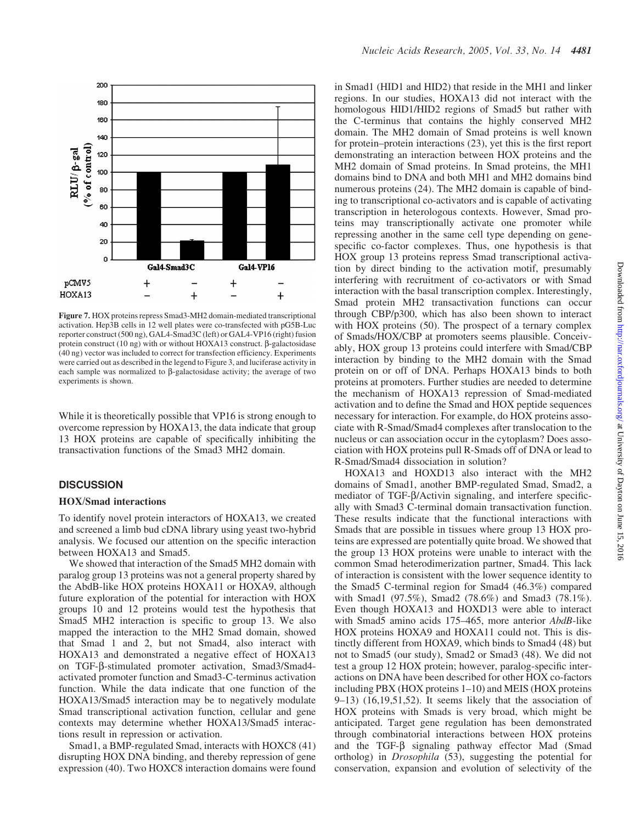

Figure 7. HOX proteins repress Smad3-MH2 domain-mediated transcriptional activation. Hep3B cells in 12 well plates were co-transfected with pG5B-Luc reporter construct (500 ng), GAL4-Smad3C (left) or GAL4-VP16 (right) fusion protein construct (10 ng) with or without HOXA13 construct.  $\beta$ -galactosidase (40 ng) vector was included to correct for transfection efficiency. Experiments were carried out as described in the legend to Figure 3, and luciferase activity in each sample was normalized to  $\beta$ -galactosidase activity; the average of two experiments is shown.

While it is theoretically possible that VP16 is strong enough to overcome repression by HOXA13, the data indicate that group 13 HOX proteins are capable of specifically inhibiting the transactivation functions of the Smad3 MH2 domain.

#### **DISCUSSION**

#### HOX/Smad interactions

To identify novel protein interactors of HOXA13, we created and screened a limb bud cDNA library using yeast two-hybrid analysis. We focused our attention on the specific interaction between HOXA13 and Smad5.

We showed that interaction of the Smad5 MH2 domain with paralog group 13 proteins was not a general property shared by the AbdB-like HOX proteins HOXA11 or HOXA9, although future exploration of the potential for interaction with HOX groups 10 and 12 proteins would test the hypothesis that Smad5 MH2 interaction is specific to group 13. We also mapped the interaction to the MH2 Smad domain, showed that Smad 1 and 2, but not Smad4, also interact with HOXA13 and demonstrated a negative effect of HOXA13 on TGF-b-stimulated promoter activation, Smad3/Smad4 activated promoter function and Smad3-C-terminus activation function. While the data indicate that one function of the HOXA13/Smad5 interaction may be to negatively modulate Smad transcriptional activation function, cellular and gene contexts may determine whether HOXA13/Smad5 interactions result in repression or activation.

Smad1, a BMP-regulated Smad, interacts with HOXC8 (41) disrupting HOX DNA binding, and thereby repression of gene expression (40). Two HOXC8 interaction domains were found

in Smad1 (HID1 and HID2) that reside in the MH1 and linker regions. In our studies, HOXA13 did not interact with the homologous HID1/HID2 regions of Smad5 but rather with the C-terminus that contains the highly conserved MH2 domain. The MH2 domain of Smad proteins is well known for protein–protein interactions (23), yet this is the first report demonstrating an interaction between HOX proteins and the MH2 domain of Smad proteins. In Smad proteins, the MH1 domains bind to DNA and both MH1 and MH2 domains bind numerous proteins (24). The MH2 domain is capable of binding to transcriptional co-activators and is capable of activating transcription in heterologous contexts. However, Smad proteins may transcriptionally activate one promoter while repressing another in the same cell type depending on genespecific co-factor complexes. Thus, one hypothesis is that HOX group 13 proteins repress Smad transcriptional activation by direct binding to the activation motif, presumably interfering with recruitment of co-activators or with Smad interaction with the basal transcription complex. Interestingly, Smad protein MH2 transactivation functions can occur through CBP/p300, which has also been shown to interact with HOX proteins (50). The prospect of a ternary complex of Smads/HOX/CBP at promoters seems plausible. Conceivably, HOX group 13 proteins could interfere with Smad/CBP interaction by binding to the MH2 domain with the Smad protein on or off of DNA. Perhaps HOXA13 binds to both proteins at promoters. Further studies are needed to determine the mechanism of HOXA13 repression of Smad-mediated activation and to define the Smad and HOX peptide sequences necessary for interaction. For example, do HOX proteins associate with R-Smad/Smad4 complexes after translocation to the nucleus or can association occur in the cytoplasm? Does association with HOX proteins pull R-Smads off of DNA or lead to R-Smad/Smad4 dissociation in solution?

HOXA13 and HOXD13 also interact with the MH2 domains of Smad1, another BMP-regulated Smad, Smad2, a mediator of TGF-β/Activin signaling, and interfere specifically with Smad3 C-terminal domain transactivation function. These results indicate that the functional interactions with Smads that are possible in tissues where group 13 HOX proteins are expressed are potentially quite broad. We showed that the group 13 HOX proteins were unable to interact with the common Smad heterodimerization partner, Smad4. This lack of interaction is consistent with the lower sequence identity to the Smad5 C-terminal region for Smad4 (46.3%) compared with Smad1 (97.5%), Smad2 (78.6%) and Smad3 (78.1%). Even though HOXA13 and HOXD13 were able to interact with Smad5 amino acids 175–465, more anterior AbdB-like HOX proteins HOXA9 and HOXA11 could not. This is distinctly different from HOXA9, which binds to Smad4 (48) but not to Smad5 (our study), Smad2 or Smad3 (48). We did not test a group 12 HOX protein; however, paralog-specific interactions on DNA have been described for other HOX co-factors including PBX (HOX proteins 1–10) and MEIS (HOX proteins 9–13) (16,19,51,52). It seems likely that the association of HOX proteins with Smads is very broad, which might be anticipated. Target gene regulation has been demonstrated through combinatorial interactions between HOX proteins and the TGF- $\beta$  signaling pathway effector Mad (Smad ortholog) in Drosophila (53), suggesting the potential for conservation, expansion and evolution of selectivity of the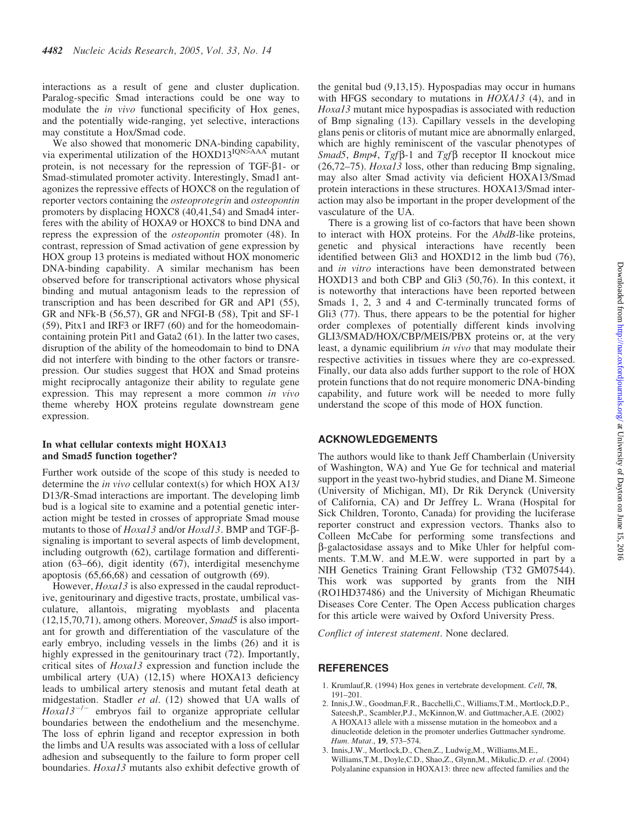interactions as a result of gene and cluster duplication. Paralog-specific Smad interactions could be one way to modulate the in vivo functional specificity of Hox genes, and the potentially wide-ranging, yet selective, interactions may constitute a Hox/Smad code.

We also showed that monomeric DNA-binding capability, via experimental utilization of the  $HOXD13^{IQN>AA}$  mutant protein, is not necessary for the repression of TGF- $\beta$ 1- or Smad-stimulated promoter activity. Interestingly, Smad1 antagonizes the repressive effects of HOXC8 on the regulation of reporter vectors containing the osteoprotegrin and osteopontin promoters by displacing HOXC8 (40,41,54) and Smad4 interferes with the ability of HOXA9 or HOXC8 to bind DNA and repress the expression of the osteopontin promoter (48). In contrast, repression of Smad activation of gene expression by HOX group 13 proteins is mediated without HOX monomeric DNA-binding capability. A similar mechanism has been observed before for transcriptional activators whose physical binding and mutual antagonism leads to the repression of transcription and has been described for GR and AP1 (55), GR and NFk-B (56,57), GR and NFGI-B (58), Tpit and SF-1 (59), Pitx1 and IRF3 or IRF7 (60) and for the homeodomaincontaining protein Pit1 and Gata2 (61). In the latter two cases, disruption of the ability of the homeodomain to bind to DNA did not interfere with binding to the other factors or transrepression. Our studies suggest that HOX and Smad proteins might reciprocally antagonize their ability to regulate gene expression. This may represent a more common in vivo theme whereby HOX proteins regulate downstream gene expression.

#### In what cellular contexts might HOXA13 and Smad5 function together?

Further work outside of the scope of this study is needed to determine the in vivo cellular context(s) for which HOX A13/ D13/R-Smad interactions are important. The developing limb bud is a logical site to examine and a potential genetic interaction might be tested in crosses of appropriate Smad mouse mutants to those of Hoxa13 and/or Hoxd13. BMP and TGF-bsignaling is important to several aspects of limb development, including outgrowth (62), cartilage formation and differentiation (63–66), digit identity (67), interdigital mesenchyme apoptosis (65,66,68) and cessation of outgrowth (69).

However, *Hoxal* 3 is also expressed in the caudal reproductive, genitourinary and digestive tracts, prostate, umbilical vasculature, allantois, migrating myoblasts and placenta  $(12,15,70,71)$ , among others. Moreover, *Smad5* is also important for growth and differentiation of the vasculature of the early embryo, including vessels in the limbs (26) and it is highly expressed in the genitourinary tract (72). Importantly, critical sites of Hoxa13 expression and function include the umbilical artery (UA) (12,15) where HOXA13 deficiency leads to umbilical artery stenosis and mutant fetal death at midgestation. Stadler et al. (12) showed that UA walls of  $Hoxal3^{-/-}$  embryos fail to organize appropriate cellular boundaries between the endothelium and the mesenchyme. The loss of ephrin ligand and receptor expression in both the limbs and UA results was associated with a loss of cellular adhesion and subsequently to the failure to form proper cell boundaries. Hoxa13 mutants also exhibit defective growth of

the genital bud (9,13,15). Hypospadias may occur in humans with HFGS secondary to mutations in HOXA13 (4), and in Hoxa13 mutant mice hypospadias is associated with reduction of Bmp signaling (13). Capillary vessels in the developing glans penis or clitoris of mutant mice are abnormally enlarged, which are highly reminiscent of the vascular phenotypes of Smad5, Bmp4, Tgf $\beta$ -1 and Tgf $\beta$  receptor II knockout mice  $(26,72–75)$ . Hoxal 3 loss, other than reducing Bmp signaling, may also alter Smad activity via deficient HOXA13/Smad protein interactions in these structures. HOXA13/Smad interaction may also be important in the proper development of the vasculature of the UA.

There is a growing list of co-factors that have been shown to interact with HOX proteins. For the AbdB-like proteins, genetic and physical interactions have recently been identified between Gli3 and HOXD12 in the limb bud (76), and in vitro interactions have been demonstrated between HOXD13 and both CBP and Gli3 (50,76). In this context, it is noteworthy that interactions have been reported between Smads 1, 2, 3 and 4 and C-terminally truncated forms of Gli<sub>3</sub> (77). Thus, there appears to be the potential for higher order complexes of potentially different kinds involving GLI3/SMAD/HOX/CBP/MEIS/PBX proteins or, at the very least, a dynamic equilibrium in vivo that may modulate their respective activities in tissues where they are co-expressed. Finally, our data also adds further support to the role of HOX protein functions that do not require monomeric DNA-binding capability, and future work will be needed to more fully understand the scope of this mode of HOX function.

### ACKNOWLEDGEMENTS

The authors would like to thank Jeff Chamberlain (University of Washington, WA) and Yue Ge for technical and material support in the yeast two-hybrid studies, and Diane M. Simeone (University of Michigan, MI), Dr Rik Derynck (University of California, CA) and Dr Jeffrey L. Wrana (Hospital for Sick Children, Toronto, Canada) for providing the luciferase reporter construct and expression vectors. Thanks also to Colleen McCabe for performing some transfections and b-galactosidase assays and to Mike Uhler for helpful comments. T.M.W. and M.E.W. were supported in part by a NIH Genetics Training Grant Fellowship (T32 GM07544). This work was supported by grants from the NIH (RO1HD37486) and the University of Michigan Rheumatic Diseases Core Center. The Open Access publication charges for this article were waived by Oxford University Press.

Conflict of interest statement. None declared.

#### **REFERENCES**

- 1. Krumlauf,R. (1994) Hox genes in vertebrate development. Cell, 78, 191–201.
- 2. Innis,J.W., Goodman,F.R., Bacchelli,C., Williams,T.M., Mortlock,D.P., Sateesh,P., Scambler,P.J., McKinnon,W. and Guttmacher,A.E. (2002) A HOXA13 allele with a missense mutation in the homeobox and a dinucleotide deletion in the promoter underlies Guttmacher syndrome. Hum. Mutat., 19, 573–574.
- 3. Innis,J.W., Mortlock,D., Chen,Z., Ludwig,M., Williams,M.E., Williams,T.M., Doyle,C.D., Shao,Z., Glynn,M., Mikulic,D. et al. (2004) Polyalanine expansion in HOXA13: three new affected families and the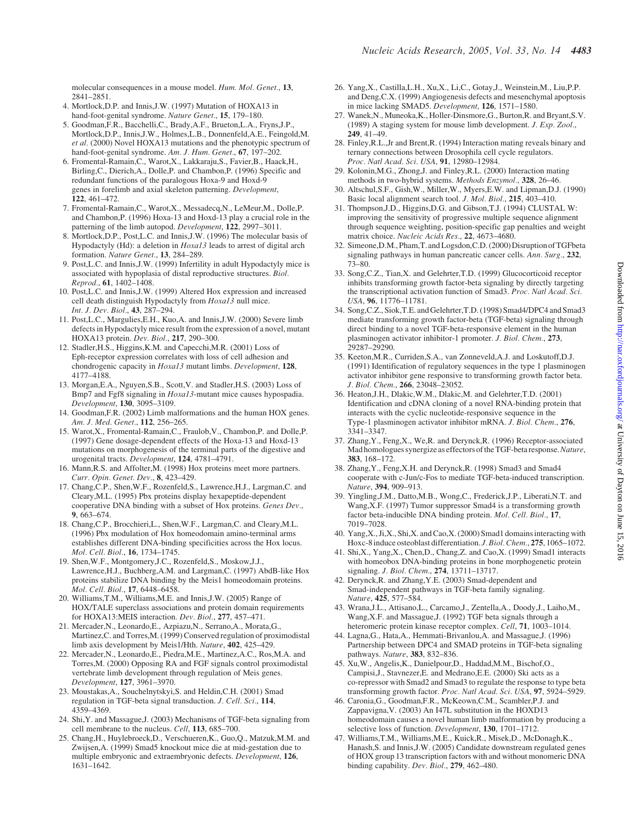molecular consequences in a mouse model. Hum. Mol. Genet., 13, 2841–2851.

- 4. Mortlock,D.P. and Innis,J.W. (1997) Mutation of HOXA13 in hand-foot-genital syndrome. Nature Genet., 15, 179-180.
- 5. Goodman,F.R., Bacchelli,C., Brady,A.F., Brueton,L.A., Fryns,J.P., Mortlock,D.P., Innis,J.W., Holmes,L.B., Donnenfeld,A.E., Feingold,M. et al. (2000) Novel HOXA13 mutations and the phenotypic spectrum of hand-foot-genital syndrome. Am. J. Hum. Genet., 67, 197-202.
- 6. Fromental-Ramain,C., Warot,X., Lakkaraju,S., Favier,B., Haack,H., Birling,C., Dierich,A., Dolle,P. and Chambon,P. (1996) Specific and redundant functions of the paralogous Hoxa-9 and Hoxd-9 genes in forelimb and axial skeleton patterning. Development, 122, 461–472.
- 7. Fromental-Ramain,C., Warot,X., Messadecq,N., LeMeur,M., Dolle,P. and Chambon,P. (1996) Hoxa-13 and Hoxd-13 play a crucial role in the patterning of the limb autopod. Development, 122, 2997–3011.
- 8. Mortlock,D.P., Post,L.C. and Innis,J.W. (1996) The molecular basis of Hypodactyly (Hd): a deletion in  $Hoxal3$  leads to arrest of digital arch formation. Nature Genet., 13, 284–289.
- 9. Post,L.C. and Innis,J.W. (1999) Infertility in adult Hypodactyly mice is associated with hypoplasia of distal reproductive structures. Biol. Reprod., 61, 1402–1408.
- 10. Post,L.C. and Innis,J.W. (1999) Altered Hox expression and increased cell death distinguish Hypodactyly from Hoxa13 null mice. Int. J. Dev. Biol., 43, 287–294.
- 11. Post,L.C., Margulies,E.H., Kuo,A. and Innis,J.W. (2000) Severe limb defects in Hypodactyly mice result from the expression of a novel, mutant HOXA13 protein. Dev. Biol., 217, 290–300.
- 12. Stadler,H.S., Higgins,K.M. and Capecchi,M.R. (2001) Loss of Eph-receptor expression correlates with loss of cell adhesion and chondrogenic capacity in Hoxa13 mutant limbs. Development, 128, 4177–4188.
- 13. Morgan,E.A., Nguyen,S.B., Scott,V. and Stadler,H.S. (2003) Loss of Bmp7 and Fgf8 signaling in Hoxa13-mutant mice causes hypospadia. Development, 130, 3095–3109.
- 14. Goodman,F.R. (2002) Limb malformations and the human HOX genes. Am. J. Med. Genet., 112, 256-265.
- 15. Warot,X., Fromental-Ramain,C., Fraulob,V., Chambon,P. and Dolle,P. (1997) Gene dosage-dependent effects of the Hoxa-13 and Hoxd-13 mutations on morphogenesis of the terminal parts of the digestive and urogenital tracts. Development, 124, 4781–4791.
- 16. Mann,R.S. and Affolter,M. (1998) Hox proteins meet more partners. Curr. Opin. Genet. Dev., 8, 423–429.
- 17. Chang,C.P., Shen,W.F., Rozenfeld,S., Lawrence,H.J., Largman,C. and Cleary,M.L. (1995) Pbx proteins display hexapeptide-dependent cooperative DNA binding with a subset of Hox proteins. Genes Dev., 9, 663–674.
- 18. Chang,C.P., Brocchieri,L., Shen,W.F., Largman,C. and Cleary,M.L. (1996) Pbx modulation of Hox homeodomain amino-terminal arms establishes different DNA-binding specificities across the Hox locus. Mol. Cell. Biol., 16, 1734–1745.
- 19. Shen,W.F., Montgomery,J.C., Rozenfeld,S., Moskow,J.J., Lawrence,H.J., Buchberg,A.M. and Largman,C. (1997) AbdB-like Hox proteins stabilize DNA binding by the Meis1 homeodomain proteins. Mol. Cell. Biol., 17, 6448–6458.
- 20. Williams,T.M., Williams,M.E. and Innis,J.W. (2005) Range of HOX/TALE superclass associations and protein domain requirements for HOXA13:MEIS interaction. Dev. Biol., 277, 457–471.
- 21. Mercader,N., Leonardo,E., Azpiazu,N., Serrano,A., Morata,G., Martinez,C. and Torres,M. (1999) Conserved regulation of proximodistal limb axis development by Meis1/Hth. Nature, 402, 425–429.
- 22. Mercader,N., Leonardo,E., Piedra,M.E., Martinez,A.C., Ros,M.A. and Torres,M. (2000) Opposing RA and FGF signals control proximodistal vertebrate limb development through regulation of Meis genes. Development, 127, 3961–3970.
- 23. Moustakas,A., Souchelnytskyi,S. and Heldin,C.H. (2001) Smad regulation in TGF-beta signal transduction. J. Cell. Sci., 114, 4359–4369.
- 24. Shi,Y. and Massague,J. (2003) Mechanisms of TGF-beta signaling from cell membrane to the nucleus. Cell, 113, 685–700.
- 25. Chang,H., Huylebroeck,D., Verschueren,K., Guo,Q., Matzuk,M.M. and Zwijsen,A. (1999) Smad5 knockout mice die at mid-gestation due to multiple embryonic and extraembryonic defects. Development, 126, 1631–1642.
- 26. Yang,X., Castilla,L.H., Xu,X., Li,C., Gotay,J., Weinstein,M., Liu,P.P. and Deng,C.X. (1999) Angiogenesis defects and mesenchymal apoptosis in mice lacking SMAD5. Development, 126, 1571–1580.
- 27. Wanek,N., Muneoka,K., Holler-Dinsmore,G., Burton,R. and Bryant,S.V. (1989) A staging system for mouse limb development. J. Exp. Zool., 249, 41–49.
- 28. Finley,R.L.,Jr and Brent,R. (1994) Interaction mating reveals binary and ternary connections between Drosophila cell cycle regulators. Proc. Natl Acad. Sci. USA, 91, 12980–12984.
- 29. Kolonin,M.G., Zhong,J. and Finley,R.L. (2000) Interaction mating methods in two-hybrid systems. Methods Enzymol., 328, 26–46.
- 30. Altschul,S.F., Gish,W., Miller,W., Myers,E.W. and Lipman,D.J. (1990) Basic local alignment search tool. J. Mol. Biol., 215, 403–410.
- 31. Thompson,J.D., Higgins,D.G. and Gibson,T.J. (1994) CLUSTAL W: improving the sensitivity of progressive multiple sequence alignment through sequence weighting, position-specific gap penalties and weight matrix choice. Nucleic Acids Res., 22, 4673–4680.
- 32. Simeone, D.M., Pham, T. and Logsdon, C.D. (2000) Disruption of TGFbeta signaling pathways in human pancreatic cancer cells. Ann. Surg., 232, 73–80.
- 33. Song,C.Z., Tian,X. and Gelehrter,T.D. (1999) Glucocorticoid receptor inhibits transforming growth factor-beta signaling by directly targeting the transcriptional activation function of Smad3. Proc. Natl Acad. Sci. USA, 96, 11776–11781.
- 34. Song,C.Z., Siok,T.E. and Gelehrter,T.D. (1998) Smad4/DPC4 and Smad3 mediate transforming growth factor-beta (TGF-beta) signaling through direct binding to a novel TGF-beta-responsive element in the human plasminogen activator inhibitor-1 promoter. J. Biol. Chem., 273, 29287–29290.
- 35. Keeton,M.R., Curriden,S.A., van Zonneveld,A.J. and Loskutoff,D.J. (1991) Identification of regulatory sequences in the type 1 plasminogen activator inhibitor gene responsive to transforming growth factor beta. J. Biol. Chem., 266, 23048–23052.
- 36. Heaton,J.H., Dlakic,W.M., Dlakic,M. and Gelehrter,T.D. (2001) Identification and cDNA cloning of a novel RNA-binding protein that interacts with the cyclic nucleotide-responsive sequence in the Type-1 plasminogen activator inhibitor mRNA. J. Biol. Chem., 276, 3341–3347.
- 37. Zhang,Y., Feng,X., We,R. and Derynck,R. (1996) Receptor-associated Mad homologues synergize as effectors of the TGF-beta response. Nature, 383, 168–172.
- 38. Zhang,Y., Feng,X.H. and Derynck,R. (1998) Smad3 and Smad4 cooperate with c-Jun/c-Fos to mediate TGF-beta-induced transcription. Nature, 394, 909–913.
- 39. Yingling,J.M., Datto,M.B., Wong,C., Frederick,J.P., Liberati,N.T. and Wang,X.F. (1997) Tumor suppressor Smad4 is a transforming growth factor beta-inducible DNA binding protein. Mol. Cell. Biol., 17, 7019–7028.
- 40. Yang,X., Ji,X., Shi,X. and Cao,X. (2000) Smad1 domains interacting with Hoxc-8 induce osteoblast differentiation. J. Biol. Chem., 275, 1065–1072.
- 41. Shi,X., Yang,X., Chen,D., Chang,Z. and Cao,X. (1999) Smad1 interacts with homeobox DNA-binding proteins in bone morphogenetic protein signaling. J. Biol. Chem., 274, 13711–13717.
- 42. Derynck,R. and Zhang,Y.E. (2003) Smad-dependent and Smad-independent pathways in TGF-beta family signaling. Nature, 425, 577–584.
- 43. Wrana,J.L., Attisano,L., Carcamo,J., Zentella,A., Doody,J., Laiho,M., Wang,X.F. and Massague,J. (1992) TGF beta signals through a heteromeric protein kinase receptor complex. Cell, 71, 1003–1014.
- 44. Lagna,G., Hata,A., Hemmati-Brivanlou,A. and Massague,J. (1996) Partnership between DPC4 and SMAD proteins in TGF-beta signaling pathways. Nature, 383, 832–836.
- 45. Xu,W., Angelis,K., Danielpour,D., Haddad,M.M., Bischof,O., Campisi,J., Stavnezer,E. and Medrano,E.E. (2000) Ski acts as a co-repressor with Smad2 and Smad3 to regulate the response to type beta transforming growth factor. Proc. Natl Acad. Sci. USA, 97, 5924–5929.
- 46. Caronia,G., Goodman,F.R., McKeown,C.M., Scambler,P.J. and Zappavigna,V. (2003) An I47L substitution in the HOXD13 homeodomain causes a novel human limb malformation by producing a selective loss of function. Development, 130, 1701-1712.
- 47. Williams,T.M., Williams,M.E., Kuick,R., Misek,D., McDonagh,K., Hanash,S. and Innis,J.W. (2005) Candidate downstream regulated genes of HOX group 13 transcription factors with and without monomeric DNA binding capability. Dev. Biol., 279, 462–480.